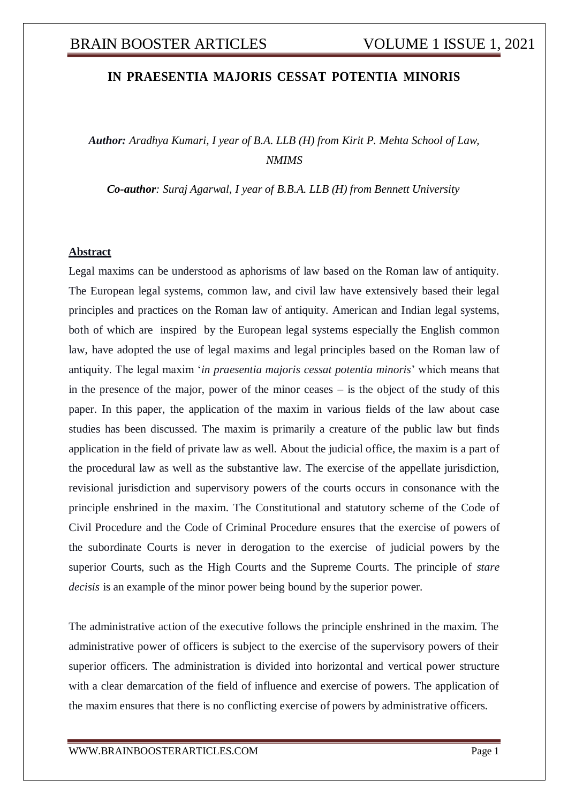## **IN PRAESENTIA MAJORIS CESSAT POTENTIA MINORIS**

*Author: Aradhya Kumari, I year of B.A. LLB (H) from Kirit P. Mehta School of Law, NMIMS*

*Co-author: Suraj Agarwal, I year of B.B.A. LLB (H) from Bennett University*

#### **Abstract**

Legal maxims can be understood as aphorisms of law based on the Roman law of antiquity. The European legal systems, common law, and civil law have extensively based their legal principles and practices on the Roman law of antiquity. American and Indian legal systems, both of which are inspired by the European legal systems especially the English common law, have adopted the use of legal maxims and legal principles based on the Roman law of antiquity. The legal maxim '*in praesentia majoris cessat potentia minoris*' which means that in the presence of the major, power of the minor ceases – is the object of the study of this paper. In this paper, the application of the maxim in various fields of the law about case studies has been discussed. The maxim is primarily a creature of the public law but finds application in the field of private law as well. About the judicial office, the maxim is a part of the procedural law as well as the substantive law. The exercise of the appellate jurisdiction, revisional jurisdiction and supervisory powers of the courts occurs in consonance with the principle enshrined in the maxim. The Constitutional and statutory scheme of the Code of Civil Procedure and the Code of Criminal Procedure ensures that the exercise of powers of the subordinate Courts is never in derogation to the exercise of judicial powers by the superior Courts, such as the High Courts and the Supreme Courts. The principle of *stare decisis* is an example of the minor power being bound by the superior power.

The administrative action of the executive follows the principle enshrined in the maxim. The administrative power of officers is subject to the exercise of the supervisory powers of their superior officers. The administration is divided into horizontal and vertical power structure with a clear demarcation of the field of influence and exercise of powers. The application of the maxim ensures that there is no conflicting exercise of powers by administrative officers.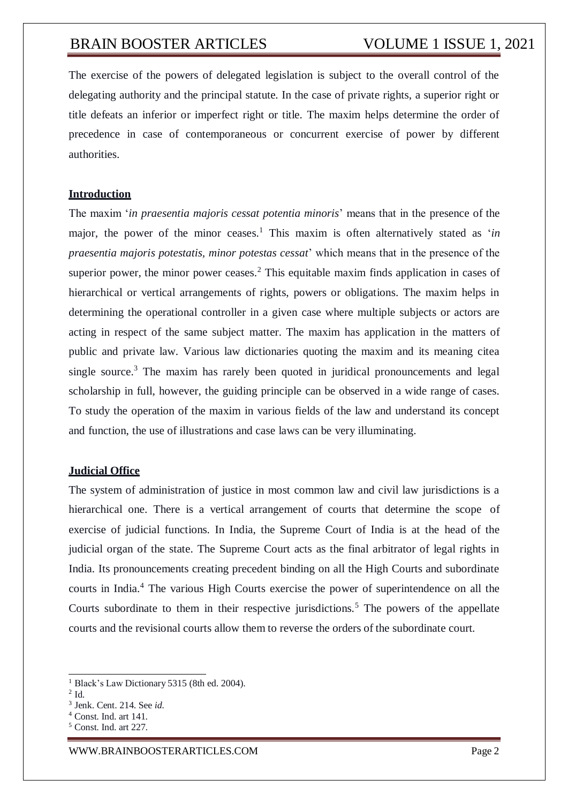The exercise of the powers of delegated legislation is subject to the overall control of the delegating authority and the principal statute. In the case of private rights, a superior right or title defeats an inferior or imperfect right or title. The maxim helps determine the order of precedence in case of contemporaneous or concurrent exercise of power by different authorities.

### **Introduction**

The maxim '*in praesentia majoris cessat potentia minoris*' means that in the presence of the major, the power of the minor ceases.<sup>1</sup> This maxim is often alternatively stated as '*in praesentia majoris potestatis, minor potestas cessat*' which means that in the presence of the superior power, the minor power ceases.<sup>2</sup> This equitable maxim finds application in cases of hierarchical or vertical arrangements of rights, powers or obligations. The maxim helps in determining the operational controller in a given case where multiple subjects or actors are acting in respect of the same subject matter. The maxim has application in the matters of public and private law. Various law dictionaries quoting the maxim and its meaning citea single source.<sup>3</sup> The maxim has rarely been quoted in juridical pronouncements and legal scholarship in full, however, the guiding principle can be observed in a wide range of cases. To study the operation of the maxim in various fields of the law and understand its concept and function, the use of illustrations and case laws can be very illuminating.

### **Judicial Office**

The system of administration of justice in most common law and civil law jurisdictions is a hierarchical one. There is a vertical arrangement of courts that determine the scope of exercise of judicial functions. In India, the Supreme Court of India is at the head of the judicial organ of the state. The Supreme Court acts as the final arbitrator of legal rights in India. Its pronouncements creating precedent binding on all the High Courts and subordinate courts in India.<sup>4</sup> The various High Courts exercise the power of superintendence on all the Courts subordinate to them in their respective jurisdictions.<sup>5</sup> The powers of the appellate courts and the revisional courts allow them to reverse the orders of the subordinate court.

<sup>&</sup>lt;sup>1</sup> Black's Law Dictionary 5315 (8th ed. 2004).

<sup>2</sup> Id.

<sup>3</sup> Jenk. Cent. 214. See *id.*

<sup>4</sup> Const. Ind. art 141.

<sup>5</sup> Const. Ind. art 227.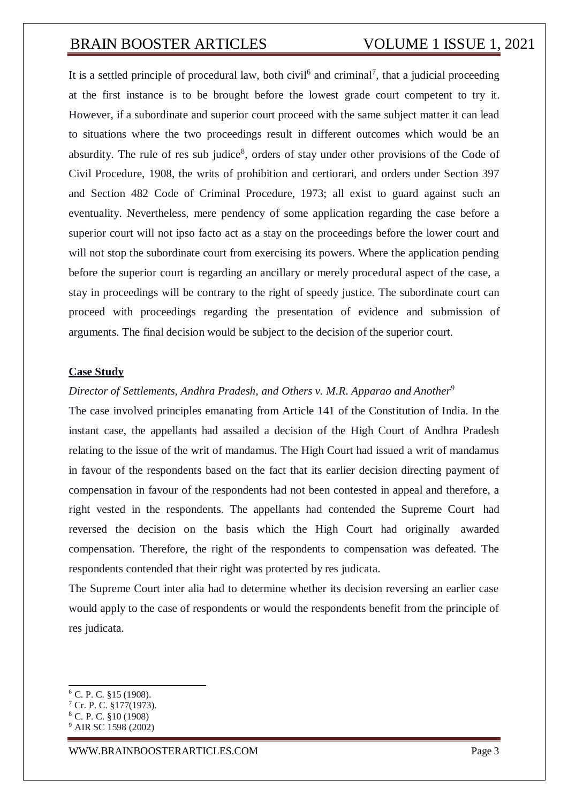It is a settled principle of procedural law, both civil<sup>6</sup> and criminal<sup>7</sup>, that a judicial proceeding at the first instance is to be brought before the lowest grade court competent to try it. However, if a subordinate and superior court proceed with the same subject matter it can lead to situations where the two proceedings result in different outcomes which would be an absurdity. The rule of res sub judice<sup>8</sup>, orders of stay under other provisions of the Code of Civil Procedure, 1908, the writs of prohibition and certiorari, and orders under Section 397 and Section 482 Code of Criminal Procedure, 1973; all exist to guard against such an eventuality. Nevertheless, mere pendency of some application regarding the case before a superior court will not ipso facto act as a stay on the proceedings before the lower court and will not stop the subordinate court from exercising its powers. Where the application pending before the superior court is regarding an ancillary or merely procedural aspect of the case, a stay in proceedings will be contrary to the right of speedy justice. The subordinate court can proceed with proceedings regarding the presentation of evidence and submission of arguments. The final decision would be subject to the decision of the superior court.

### **Case Study**

## *Director of Settlements, Andhra Pradesh, and Others v. M.R. Apparao and Another<sup>9</sup>*

The case involved principles emanating from Article 141 of the Constitution of India. In the instant case, the appellants had assailed a decision of the High Court of Andhra Pradesh relating to the issue of the writ of mandamus. The High Court had issued a writ of mandamus in favour of the respondents based on the fact that its earlier decision directing payment of compensation in favour of the respondents had not been contested in appeal and therefore, a right vested in the respondents. The appellants had contended the Supreme Court had reversed the decision on the basis which the High Court had originally awarded compensation. Therefore, the right of the respondents to compensation was defeated. The respondents contended that their right was protected by res judicata.

The Supreme Court inter alia had to determine whether its decision reversing an earlier case would apply to the case of respondents or would the respondents benefit from the principle of res judicata.

<sup>6</sup> C. P. C. §15 (1908).

<sup>7</sup> Cr. P. C. §177(1973).

<sup>8</sup> C. P. C. §10 (1908)

<sup>9</sup> AIR SC 1598 (2002)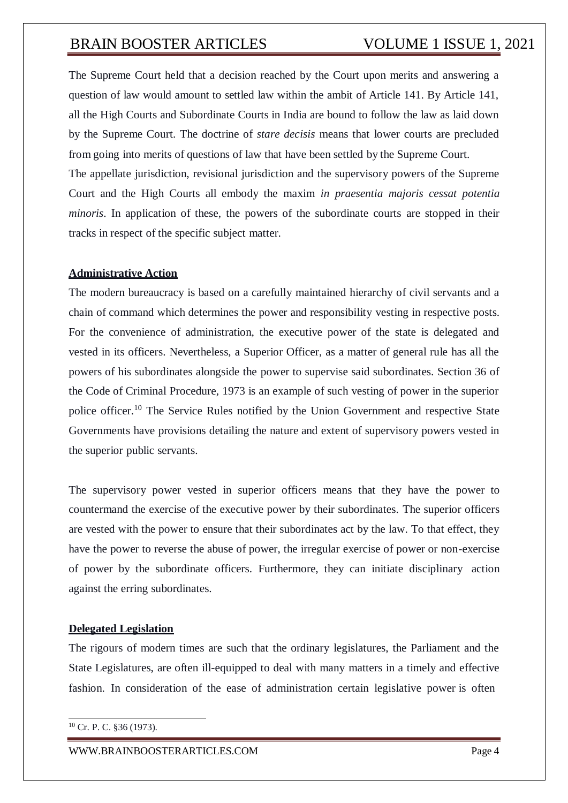tracks in respect of the specific subject matter.

The Supreme Court held that a decision reached by the Court upon merits and answering a question of law would amount to settled law within the ambit of Article 141. By Article 141, all the High Courts and Subordinate Courts in India are bound to follow the law as laid down by the Supreme Court. The doctrine of *stare decisis* means that lower courts are precluded from going into merits of questions of law that have been settled by the Supreme Court. The appellate jurisdiction, revisional jurisdiction and the supervisory powers of the Supreme Court and the High Courts all embody the maxim *in praesentia majoris cessat potentia minoris*. In application of these, the powers of the subordinate courts are stopped in their

## **Administrative Action**

The modern bureaucracy is based on a carefully maintained hierarchy of civil servants and a chain of command which determines the power and responsibility vesting in respective posts. For the convenience of administration, the executive power of the state is delegated and vested in its officers. Nevertheless, a Superior Officer, as a matter of general rule has all the powers of his subordinates alongside the power to supervise said subordinates. Section 36 of the Code of Criminal Procedure, 1973 is an example of such vesting of power in the superior police officer.<sup>10</sup> The Service Rules notified by the Union Government and respective State Governments have provisions detailing the nature and extent of supervisory powers vested in the superior public servants.

The supervisory power vested in superior officers means that they have the power to countermand the exercise of the executive power by their subordinates. The superior officers are vested with the power to ensure that their subordinates act by the law. To that effect, they have the power to reverse the abuse of power, the irregular exercise of power or non-exercise of power by the subordinate officers. Furthermore, they can initiate disciplinary action against the erring subordinates.

## **Delegated Legislation**

The rigours of modern times are such that the ordinary legislatures, the Parliament and the State Legislatures, are often ill-equipped to deal with many matters in a timely and effective fashion. In consideration of the ease of administration certain legislative power is often

<sup>10</sup> Cr. P. C. §36 (1973).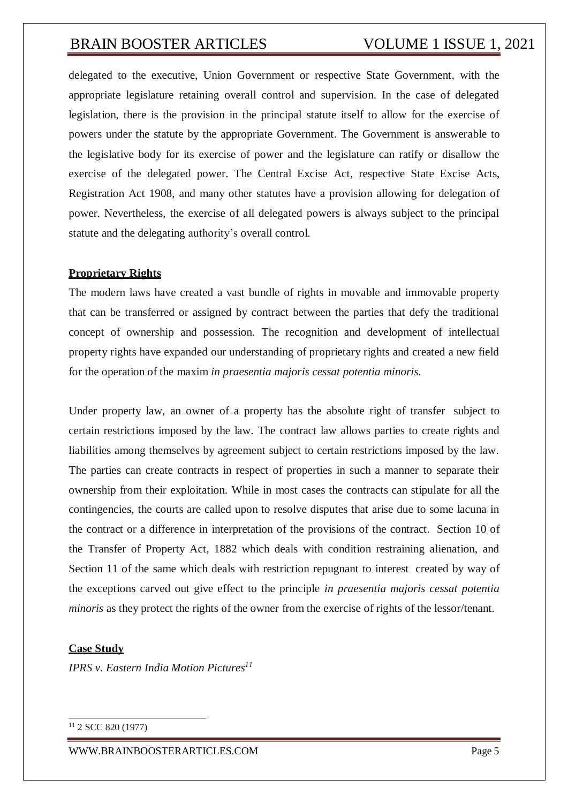delegated to the executive, Union Government or respective State Government, with the appropriate legislature retaining overall control and supervision. In the case of delegated legislation, there is the provision in the principal statute itself to allow for the exercise of powers under the statute by the appropriate Government. The Government is answerable to the legislative body for its exercise of power and the legislature can ratify or disallow the exercise of the delegated power. The Central Excise Act, respective State Excise Acts, Registration Act 1908, and many other statutes have a provision allowing for delegation of power. Nevertheless, the exercise of all delegated powers is always subject to the principal statute and the delegating authority's overall control.

## **Proprietary Rights**

The modern laws have created a vast bundle of rights in movable and immovable property that can be transferred or assigned by contract between the parties that defy the traditional concept of ownership and possession. The recognition and development of intellectual property rights have expanded our understanding of proprietary rights and created a new field for the operation of the maxim *in praesentia majoris cessat potentia minoris.*

Under property law, an owner of a property has the absolute right of transfer subject to certain restrictions imposed by the law. The contract law allows parties to create rights and liabilities among themselves by agreement subject to certain restrictions imposed by the law. The parties can create contracts in respect of properties in such a manner to separate their ownership from their exploitation. While in most cases the contracts can stipulate for all the contingencies, the courts are called upon to resolve disputes that arise due to some lacuna in the contract or a difference in interpretation of the provisions of the contract. Section 10 of the Transfer of Property Act, 1882 which deals with condition restraining alienation, and Section 11 of the same which deals with restriction repugnant to interest created by way of the exceptions carved out give effect to the principle *in praesentia majoris cessat potentia minoris* as they protect the rights of the owner from the exercise of rights of the lessor/tenant.

### **Case Study**

*IPRS v. Eastern India Motion Pictures<sup>11</sup>*

[WWW.BRAINBOOSTERARTICLES.COM](http://www.brainboosterarticles.com/) Page 5

<sup>11</sup> 2 SCC 820 (1977)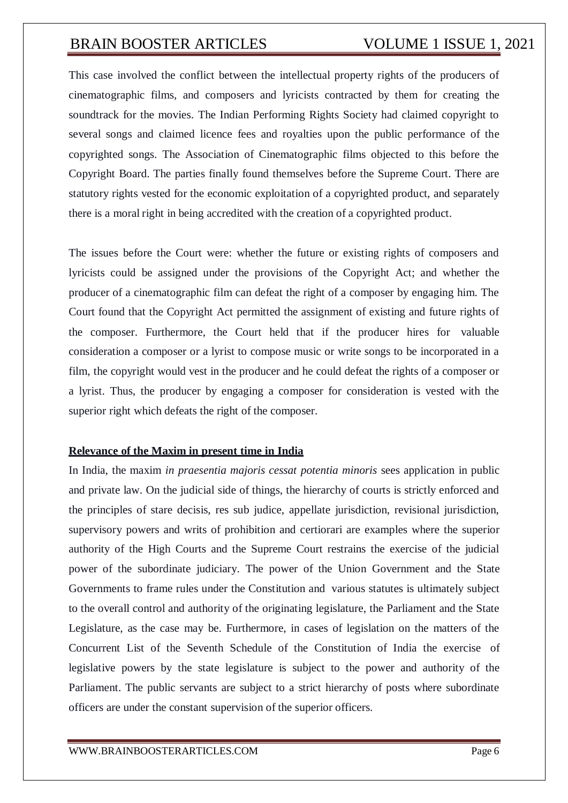This case involved the conflict between the intellectual property rights of the producers of cinematographic films, and composers and lyricists contracted by them for creating the soundtrack for the movies. The Indian Performing Rights Society had claimed copyright to several songs and claimed licence fees and royalties upon the public performance of the copyrighted songs. The Association of Cinematographic films objected to this before the Copyright Board. The parties finally found themselves before the Supreme Court. There are statutory rights vested for the economic exploitation of a copyrighted product, and separately there is a moral right in being accredited with the creation of a copyrighted product.

The issues before the Court were: whether the future or existing rights of composers and lyricists could be assigned under the provisions of the Copyright Act; and whether the producer of a cinematographic film can defeat the right of a composer by engaging him. The Court found that the Copyright Act permitted the assignment of existing and future rights of the composer. Furthermore, the Court held that if the producer hires for valuable consideration a composer or a lyrist to compose music or write songs to be incorporated in a film, the copyright would vest in the producer and he could defeat the rights of a composer or a lyrist. Thus, the producer by engaging a composer for consideration is vested with the superior right which defeats the right of the composer.

### **Relevance of the Maxim in present time in India**

In India, the maxim *in praesentia majoris cessat potentia minoris* sees application in public and private law. On the judicial side of things, the hierarchy of courts is strictly enforced and the principles of stare decisis, res sub judice, appellate jurisdiction, revisional jurisdiction, supervisory powers and writs of prohibition and certiorari are examples where the superior authority of the High Courts and the Supreme Court restrains the exercise of the judicial power of the subordinate judiciary. The power of the Union Government and the State Governments to frame rules under the Constitution and various statutes is ultimately subject to the overall control and authority of the originating legislature, the Parliament and the State Legislature, as the case may be. Furthermore, in cases of legislation on the matters of the Concurrent List of the Seventh Schedule of the Constitution of India the exercise of legislative powers by the state legislature is subject to the power and authority of the Parliament. The public servants are subject to a strict hierarchy of posts where subordinate officers are under the constant supervision of the superior officers.